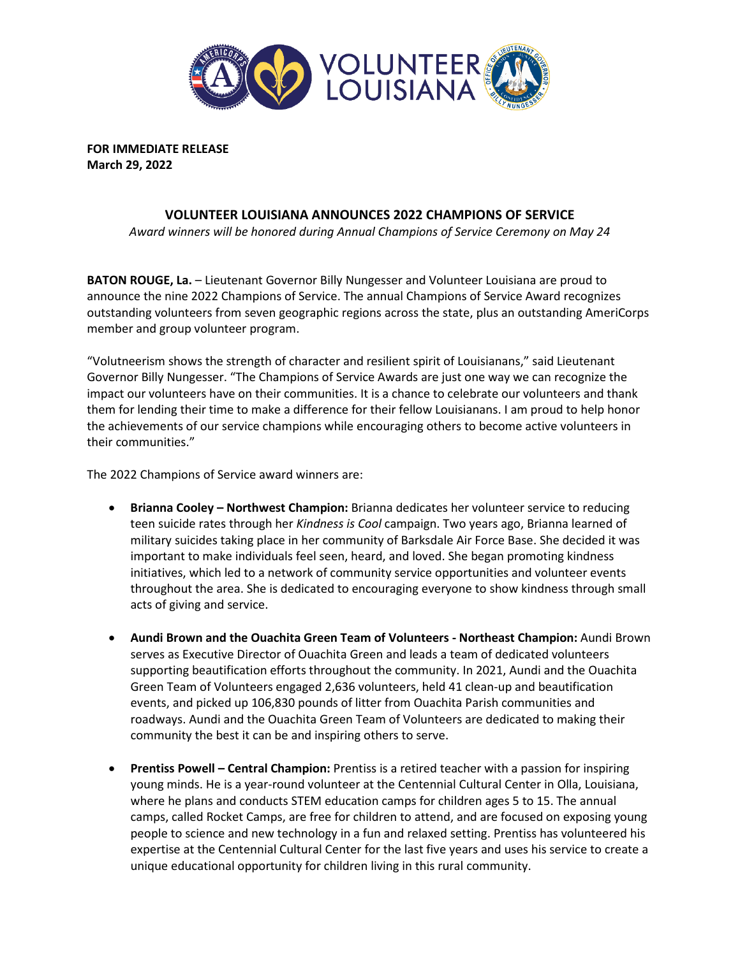

**FOR IMMEDIATE RELEASE March 29, 2022**

## **VOLUNTEER LOUISIANA ANNOUNCES 2022 CHAMPIONS OF SERVICE**

*Award winners will be honored during Annual Champions of Service Ceremony on May 24*

**BATON ROUGE, La.** – Lieutenant Governor Billy Nungesser and Volunteer Louisiana are proud to announce the nine 2022 Champions of Service. The annual Champions of Service Award recognizes outstanding volunteers from seven geographic regions across the state, plus an outstanding AmeriCorps member and group volunteer program.

"Volutneerism shows the strength of character and resilient spirit of Louisianans," said Lieutenant Governor Billy Nungesser. "The Champions of Service Awards are just one way we can recognize the impact our volunteers have on their communities. It is a chance to celebrate our volunteers and thank them for lending their time to make a difference for their fellow Louisianans. I am proud to help honor the achievements of our service champions while encouraging others to become active volunteers in their communities."

The 2022 Champions of Service award winners are:

- **Brianna Cooley – Northwest Champion:** Brianna dedicates her volunteer service to reducing teen suicide rates through her *Kindness is Cool* campaign. Two years ago, Brianna learned of military suicides taking place in her community of Barksdale Air Force Base. She decided it was important to make individuals feel seen, heard, and loved. She began promoting kindness initiatives, which led to a network of community service opportunities and volunteer events throughout the area. She is dedicated to encouraging everyone to show kindness through small acts of giving and service.
- **Aundi Brown and the Ouachita Green Team of Volunteers - Northeast Champion:** Aundi Brown serves as Executive Director of Ouachita Green and leads a team of dedicated volunteers supporting beautification efforts throughout the community. In 2021, Aundi and the Ouachita Green Team of Volunteers engaged 2,636 volunteers, held 41 clean-up and beautification events, and picked up 106,830 pounds of litter from Ouachita Parish communities and roadways. Aundi and the Ouachita Green Team of Volunteers are dedicated to making their community the best it can be and inspiring others to serve.
- **Prentiss Powell – Central Champion:** Prentiss is a retired teacher with a passion for inspiring young minds. He is a year-round volunteer at the Centennial Cultural Center in Olla, Louisiana, where he plans and conducts STEM education camps for children ages 5 to 15. The annual camps, called Rocket Camps, are free for children to attend, and are focused on exposing young people to science and new technology in a fun and relaxed setting. Prentiss has volunteered his expertise at the Centennial Cultural Center for the last five years and uses his service to create a unique educational opportunity for children living in this rural community.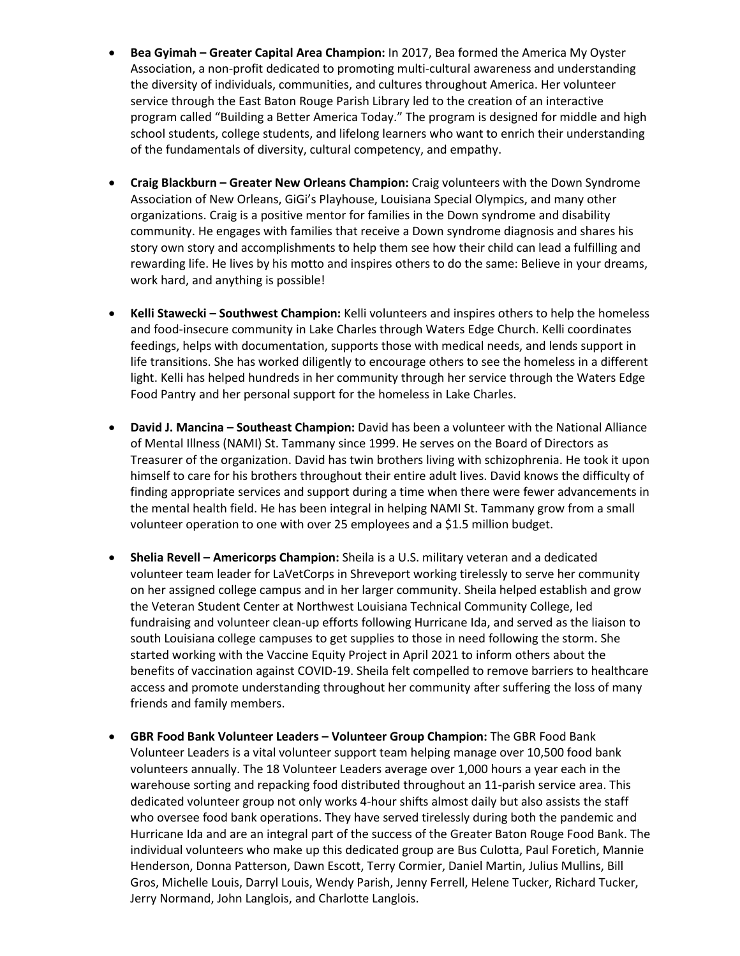- **Bea Gyimah – Greater Capital Area Champion:** In 2017, Bea formed the America My Oyster Association, a non-profit dedicated to promoting multi-cultural awareness and understanding the diversity of individuals, communities, and cultures throughout America. Her volunteer service through the East Baton Rouge Parish Library led to the creation of an interactive program called "Building a Better America Today." The program is designed for middle and high school students, college students, and lifelong learners who want to enrich their understanding of the fundamentals of diversity, cultural competency, and empathy.
- **Craig Blackburn – Greater New Orleans Champion:** Craig volunteers with the Down Syndrome Association of New Orleans, GiGi's Playhouse, Louisiana Special Olympics, and many other organizations. Craig is a positive mentor for families in the Down syndrome and disability community. He engages with families that receive a Down syndrome diagnosis and shares his story own story and accomplishments to help them see how their child can lead a fulfilling and rewarding life. He lives by his motto and inspires others to do the same: Believe in your dreams, work hard, and anything is possible!
- **Kelli Stawecki – Southwest Champion:** Kelli volunteers and inspires others to help the homeless and food-insecure community in Lake Charles through Waters Edge Church. Kelli coordinates feedings, helps with documentation, supports those with medical needs, and lends support in life transitions. She has worked diligently to encourage others to see the homeless in a different light. Kelli has helped hundreds in her community through her service through the Waters Edge Food Pantry and her personal support for the homeless in Lake Charles.
- **David J. Mancina – Southeast Champion:** David has been a volunteer with the National Alliance of Mental Illness (NAMI) St. Tammany since 1999. He serves on the Board of Directors as Treasurer of the organization. David has twin brothers living with schizophrenia. He took it upon himself to care for his brothers throughout their entire adult lives. David knows the difficulty of finding appropriate services and support during a time when there were fewer advancements in the mental health field. He has been integral in helping NAMI St. Tammany grow from a small volunteer operation to one with over 25 employees and a \$1.5 million budget.
- **Shelia Revell – Americorps Champion:** Sheila is a U.S. military veteran and a dedicated volunteer team leader for LaVetCorps in Shreveport working tirelessly to serve her community on her assigned college campus and in her larger community. Sheila helped establish and grow the Veteran Student Center at Northwest Louisiana Technical Community College, led fundraising and volunteer clean-up efforts following Hurricane Ida, and served as the liaison to south Louisiana college campuses to get supplies to those in need following the storm. She started working with the Vaccine Equity Project in April 2021 to inform others about the benefits of vaccination against COVID-19. Sheila felt compelled to remove barriers to healthcare access and promote understanding throughout her community after suffering the loss of many friends and family members.
- **GBR Food Bank Volunteer Leaders – Volunteer Group Champion:** The GBR Food Bank Volunteer Leaders is a vital volunteer support team helping manage over 10,500 food bank volunteers annually. The 18 Volunteer Leaders average over 1,000 hours a year each in the warehouse sorting and repacking food distributed throughout an 11-parish service area. This dedicated volunteer group not only works 4-hour shifts almost daily but also assists the staff who oversee food bank operations. They have served tirelessly during both the pandemic and Hurricane Ida and are an integral part of the success of the Greater Baton Rouge Food Bank. The individual volunteers who make up this dedicated group are Bus Culotta, Paul Foretich, Mannie Henderson, Donna Patterson, Dawn Escott, Terry Cormier, Daniel Martin, Julius Mullins, Bill Gros, Michelle Louis, Darryl Louis, Wendy Parish, Jenny Ferrell, Helene Tucker, Richard Tucker, Jerry Normand, John Langlois, and Charlotte Langlois.